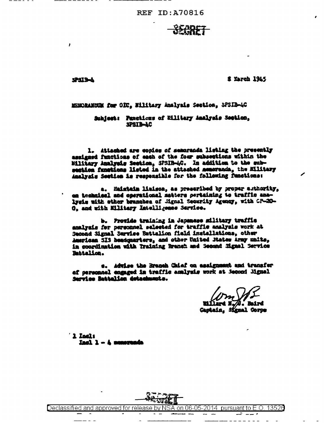**8 March 1945** 

*A-212-2* 

**r** 

MENDRANCUM for OIC, Williary Analysis Section, SPSIB-4C

Subject: Functions of Eilitary Analysis Section, **SPSIB-AC** 

1. Attached are copies of semoranda listing the presently assigned functions of each of the four subsettions within the Military Analysis Section, SPSIR-4C. In addition to the subsection functions listed in the attached nemerands, the Military Analysis Section is responsible for the following functions:

a. Haintain liaison, as preseribed by proper authority, an technical and operational matters pertaining to traffic analysis with other branches of Mgnsl Security Agency, with CP-20-O, and with Military Intelligence Service.

b. Provide training in Japanese military traffic analysis for personnel selected for traffic analysis work at Second Signal Service Battalion field installations, other American SIS beadquarters, and other United Mates Army units, in coordination with Training Branch and Second Signal Service Battalion.

e. Advise the Branch Chief on assignment and transfer of personnel engaged in traffic amilysis work at Becond Mignal Service Battalion detachments.

i. Baird

Captain. Signal Corps

 $'$  1 Incl:  $I$ ad $1 - h$  nemerada



Declassified and approved for release by NSA on 06-05-2014  $\,$  pursuant to E.O. 13526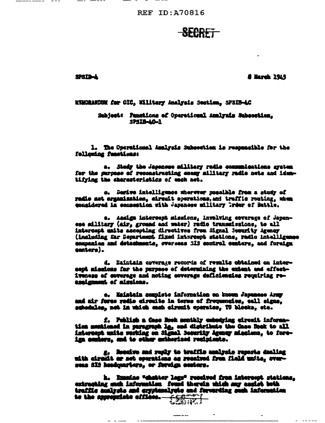**REF ID: A70816** 

## <del>SECRFT</del>

**SPSIIMA** 

**8 March 1945** 

KNACHANDUR fer CIC, Willtary Analysis Section, SPSIB-AC

Subject: Punsticms of Operational Analyzis Subsection. SPSIS-AG-1

1. The Operational Amalysis Subsection is responsible for the following functions:

a. Stady the Japanese military radio communications system for the surpose of reconstructing enemy military radio nets and idemtifying the characteristics of each net.

o. Derive intelligence mherwer possible from a study of radio net erganization, circuit coorations, and traffic routing, when considered in connection with Japanese military Greer of Battle.

e. Assign intereest missions, involving coverage of Japanese military (air, ground and water) radio transmissions, to all intercept maits accepting directives from Signal Jecurity Agency (including far Department fixed intercupt stations, radio intelligence companies and detachments, overseas 313 control centers, and foreign centers).

d. Eaintain coverage records of results obtained on intersept missions for the purpose of determining the extent and effectiveness of coverage and noting coverage deficiencies requiring reesaignment of missions.

e. Maistain complete information en known Japanese Army and air force rodio circuits in terms of frequencies, call signs, schednles, net in which each sircuit operates, TU blocks, etc.

f. Publish a Case Book menthly embodying eirouit information mentioned in paragraph la, and distribute the Case Book to all intercept unite working on Signal Security Agency missions, to foreign conters, and to other ambhorized resipients.

g. Hoodro and reply to traffic analysis reports dealing<br>with circuit or not operations as recaived from field units, oversens SIS headquarters, or foreign conters.

h. Examine "chatter logs" resolved from interespt stations. extrecting such information found therein which may acaist both traffle analysts and eryptemalysts and forwarding such information to the appropriate effices.

----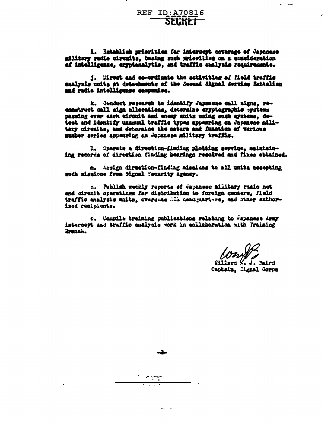i. Establiah prierities for intercept esverage of Japanese military redio circuits, basing such miorities on a consideration of intelligence, eryptenalytic, and traffic analysis requirements.

1. Mreet and co-ordinate the activities of field traffic analyzis units at detachnemts of the Second Signal Service Battalien and radio intelligence companies.

k. Jenduct research to identify Japanese call signs, reconstruct call sign allocations, determine eryptographic systems passing over each circuit and enemy units using such aystems, detest and identify unusual traffic types appearing on Japanese military circuits, and deteraine the nature and function of various maber series appearing on Japanese military traffis.

1. Operate a direction-finding plotting service, maintaining records of direction finding bearings reseived and fixes obtained.

a. Assign direction-finding missions to all units accepting such sissions from Signal Security Agency.

n. Publish weekly reports of Japanese military radio net and circuit operations for distribution to foreign centers, field traffic analysis waits, overseas ill neadquarters, and other authorised recipients.

c. Compile training publications relating to Japanese Army intercent and traffic analysis work in collaboration with Training Branch.

Nillard K. **by Le<sup>c</sup>** Captain, Mignal Corps

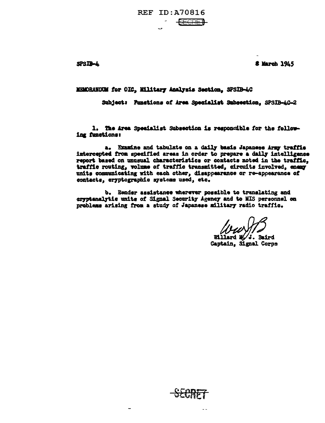<del>- SECRET</del>

SPSIB-4

**8 March 1945** 

MEMORANDUM for OIC, Military Analysis Section, SPSIB-4C

Subject: Punstions of Area Specialist Subsection. SPSIB-AC-2

1. The Area Specialist Subsection is responsible for the following functions:

a. Examine and tabulate on a daily basis Japanese Army traffic intercepted from specified areas in order to prepare a daily intelligence report based on unusual characteristics or contacts noted in the traffic. traffic routing, volume of traffic transmitted, circuits involved, enemy units communicating with each other, disappearance or re-appearance of contacts, cryptographic systems used, etc.

b. Render assistance wherever possible to translating and gryptanalytic units of Signal Security Agency and to MIS personnel on problems arising from a study of Japanese military radio traffic.

Willard M/J. Baird Gaptain, Signal Corps

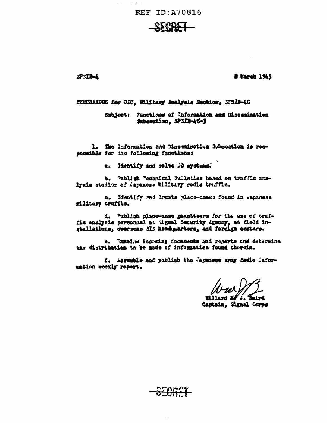**REF ID: A70816** 

2P3IB-4

**8 Earch 1945** 

NEMCRANDUM for CDC, Military Analysis Section, 3P3IB-4C

Subject: Punctices of Information and Disemination Subsection, SPSIB-4C-3

1. The Information and Mesomination Subsortion is responsible for the following functions:

a. Identify and solve DD aystems.

b. Publish Tachnical Suiletine based on traffic analysis studios of Japanese Wiltery redio traffic.

e. Identify and locate place-names found in vepaness Miltary traffic.

d. Publish place-name gazetteers for the use of traffis analysis personnel at tignal Security Agency, at field installations, overseas SIS headquarters, and foreign centers.

e. Winning incering decusests and reports and determine the distribution to be made of information found therein.

f. Assemble and publish the Japanese army dadio Information weekly report.

Faird

**Killar** Captain, Signal Corps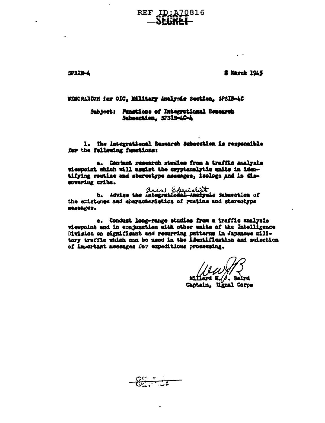# REF ID:A70816

SPSIB-L

**f** March 1945

 $\mathcal{L}^{\pm}$  .

NEMORANIEN fer OIC, Military Amalysis Section, SPSIB-4C

Subject: Pansticss of Integrational Research Subsection, SPSIB-AC-A

1. The Integrational Research Subsection is responsible for the following functions:

a. Conjust research studies frem a traffic analysis viewpoint which will assist the oryptanalytic unite in identifying routine and stereotype measuges, isologs and in discovering cribs.

area Specialist Specialist 3 absorbing of the existence and characteristics of restine and stereotype **ROBSAZCS.** 

c. Conduct long-range studies from a traffic analysis viewpoint and in conjunction with other units of the Intelligence Division on eignificant and recurring patterns in Japanese military traffic which can be used in the identification and selection of inportant messages for expeditions processing.

Captain, Mgnal Corpe

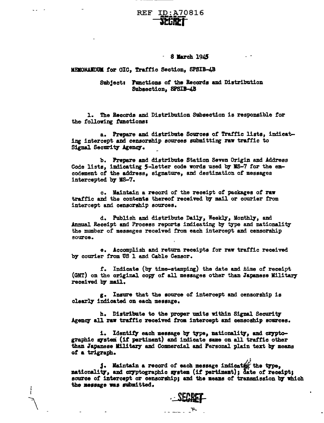### REF ID:A70816 itCiitl

#### 8 March 1945

#### MENORANDUM for OIC, Traffic Section, SPSIB-4B

#### Subjects Factions of the Becorda and Distribution Subsection, SPSIB-4.B

1. The Records and Distribution SUbsection is responsible for the following functions:

a. Prepare and distribute Sovcea of Traffic lists, indicating intercept and censorship sources submitting raw traffic to Signal Security Agency.

b. Prepare and distribute Station Seven Origin and Address Code lists, indicating 5-letter code words used by MS-7 for the encodement of the address. signature, and destination of messages intercepted by MS-7.

c. Maintain a record of the receipt of packages of raw traffic and the contents thereof received by mail or courier from intercept and censorship sources.

d. Publish and distribute Daily, Weekly, Monthly, and Annual Receipt and Process reports indicating by type and nationality the number of messages received from each intercept and censorship source.

e. Accomplish and return receipts for raw traffic received b7 courier from US 1 and Cable Censor.

r. Indicate {b:y time-stamping) the date and .time of receipt (GMT) on the original copy of all messages other than Japanese Military received by mail..

g. Insure that the source of intercept and censorship is clearly indicated on each message.

h. Distribute to the proper units within Signal Security Agency all raw traffic received from intercept and censoship sources.

i. Identify each message by type, nationality, and cryptographic gystem (if pertinent) and indicate same on all traffic other than Japanese Military and Commercial and Personal plain text by means *et* a trigraph.

**1.** Maintain a record of each message indicates the type, nationality, and cryptographic system (if pertinent); date of receipt; source of intercept or censorship; and the means of transmission by which the message was submitted.



 $\cdots$  ...  $\mathbb{F}$ .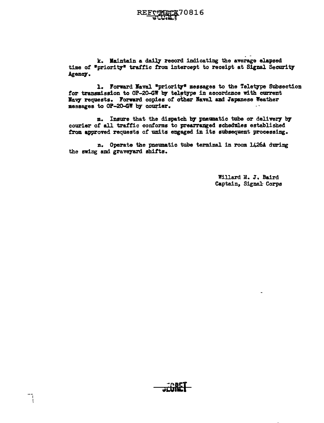k. Maintain a daily record indicating the average elapsed time of "priority" traffic from intercept to receipt at Signal Security Agency.

1. Forward Naval "priority" messages to the Teletype Subsection for transmission to  $OP-20-GT$  by teletype in accordence with current Navy requests. Forward copies of other Naval and Japanese Weather messages to OP-20-GW by courier.

m. Insure that the dispatch by pneumatic tube or delivery by courier of all traffic conforms to prearranged schedules established from approved requests of units engaged in its subsequent processing.

n. Operate the pneumatic tube terminal in room 1426A during the swing and graveyard shifts.

> Willard M. J. Baird Captain, Signal: Corps



 $\begin{array}{c} \overline{a} \\ \overline{b} \\ \overline{c} \end{array}$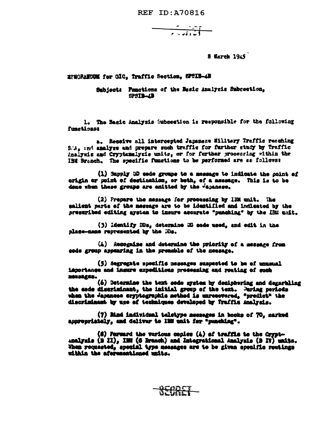$\frac{1}{\sqrt{1-\frac{1}{2}}\sqrt{1-\frac{1}{2}}\sqrt{1-\frac{1}{2}}}}$ 

8 Warch 1945

#### EPECRAETUM for OIC. Traffic Section, SPSIB-4B

Subject: Functions of the Besic Analysis Subrection, SPSIB-4B

1. The Basic Analysis Subsection is responsible for the following functionat

a. Receive all intercepted Japanese Milltery Traffic resching S.'s, and analyze and prepare such traffic for further stady by fraffic Analyzis and Cryptenalysis units, or for further processing within the IEM Branch. The specific functions to be performed are as follows:

(1) Supply 3D sade groups to a message to indicate the point of origin or point of destination, or both, of a message. This is to be dene when these groups are emitted by the vapanese.

(2) Prepare the message for processing by IEM unit. The salient parts of the message are to be identified and indicated by the preseribed editing aystem to insure accurate "punching" by the IBM unit.

(3) Identify HBs, determine HD sode used, and edit in the nlase-ness represented by the Me.

(A) Recognize and determine the priority of a message from code group appearing in the premable of the message.

(5) Segregate specific nessages suspected to be of unusual iaportance and insure expeditions processing and routing of such 20552442.

(6) Betermine the text sede system by deciphering and degarbling the code discriminant, the initial group of the text. During periods when the Japanese cryptographic method is unrecovered, "predict" the discriminant by use of techniques developed by fraffic Analysis.

(7) Mind individual teletype messages in books of 70, marked appropriately, and deliver to 12% unit for "punching".

(8) Forward the various conies (A) of traffic to the Cryptanalysis (B II), ISM (G Branch) and Integrational Analysis (B IV) units. When requested, special type measures are to be given specific routings within the aforesationed units.